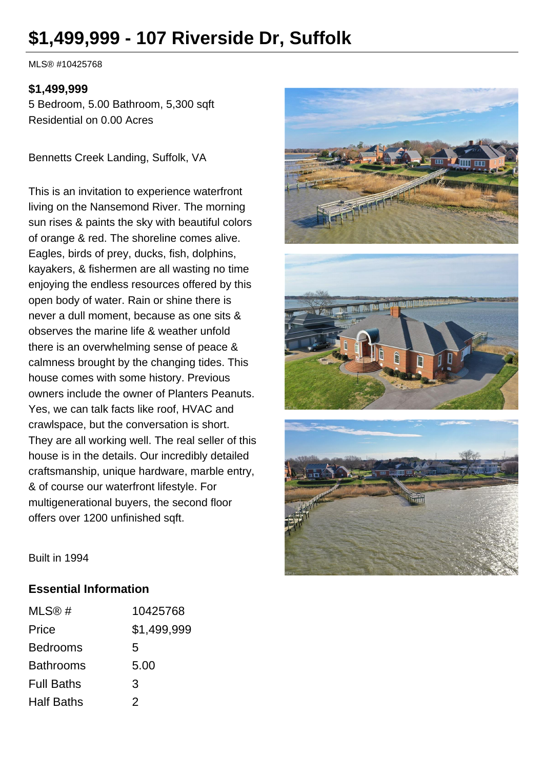# **\$1,499,999 - 107 Riverside Dr, Suffolk**

MLS® #10425768

#### **\$1,499,999**

5 Bedroom, 5.00 Bathroom, 5,300 sqft Residential on 0.00 Acres

Bennetts Creek Landing, Suffolk, VA

This is an invitation to experience waterfront living on the Nansemond River. The morning sun rises & paints the sky with beautiful colors of orange & red. The shoreline comes alive. Eagles, birds of prey, ducks, fish, dolphins, kayakers, & fishermen are all wasting no time enjoying the endless resources offered by this open body of water. Rain or shine there is never a dull moment, because as one sits & observes the marine life & weather unfold there is an overwhelming sense of peace & calmness brought by the changing tides. This house comes with some history. Previous owners include the owner of Planters Peanuts. Yes, we can talk facts like roof, HVAC and crawlspace, but the conversation is short. They are all working well. The real seller of this house is in the details. Our incredibly detailed craftsmanship, unique hardware, marble entry, & of course our waterfront lifestyle. For multigenerational buyers, the second floor offers over 1200 unfinished sqft.



Built in 1994

#### **Essential Information**

| MLS@#             | 10425768    |
|-------------------|-------------|
| Price             | \$1,499,999 |
| <b>Bedrooms</b>   | 5           |
| <b>Bathrooms</b>  | 5.00        |
| <b>Full Baths</b> | 3           |
| <b>Half Baths</b> | 2           |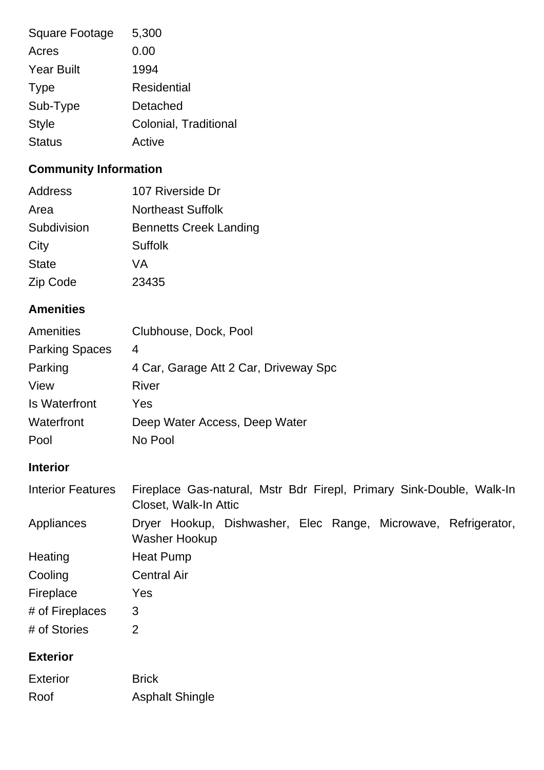| <b>Square Footage</b> | 5,300                 |
|-----------------------|-----------------------|
| Acres                 | 0.00                  |
| <b>Year Built</b>     | 1994                  |
| <b>Type</b>           | <b>Residential</b>    |
| Sub-Type              | Detached              |
| <b>Style</b>          | Colonial, Traditional |
| <b>Status</b>         | Active                |

# **Community Information**

| Address      | 107 Riverside Dr              |
|--------------|-------------------------------|
| Area         | <b>Northeast Suffolk</b>      |
| Subdivision  | <b>Bennetts Creek Landing</b> |
| City         | Suffolk                       |
| <b>State</b> | VA                            |
| Zip Code     | 23435                         |
|              |                               |

## **Amenities**

| Amenities             | Clubhouse, Dock, Pool                 |
|-----------------------|---------------------------------------|
| <b>Parking Spaces</b> | 4                                     |
| Parking               | 4 Car, Garage Att 2 Car, Driveway Spc |
| View                  | River                                 |
| <b>Is Waterfront</b>  | Yes                                   |
| Waterfront            | Deep Water Access, Deep Water         |
| Pool                  | No Pool                               |

# **Interior**

| <b>Interior Features</b> | Fireplace Gas-natural, Mstr Bdr Firepl, Primary Sink-Double, Walk-In<br>Closet, Walk-In Attic |
|--------------------------|-----------------------------------------------------------------------------------------------|
| Appliances               | Dryer Hookup, Dishwasher, Elec Range, Microwave, Refrigerator,<br><b>Washer Hookup</b>        |
| Heating                  | Heat Pump                                                                                     |
| Cooling                  | <b>Central Air</b>                                                                            |
| Fireplace                | Yes                                                                                           |
| # of Fireplaces          | 3                                                                                             |
| # of Stories             | 2                                                                                             |

### **Exterior**

| <b>Exterior</b> | <b>Brick</b>           |
|-----------------|------------------------|
| Roof            | <b>Asphalt Shingle</b> |